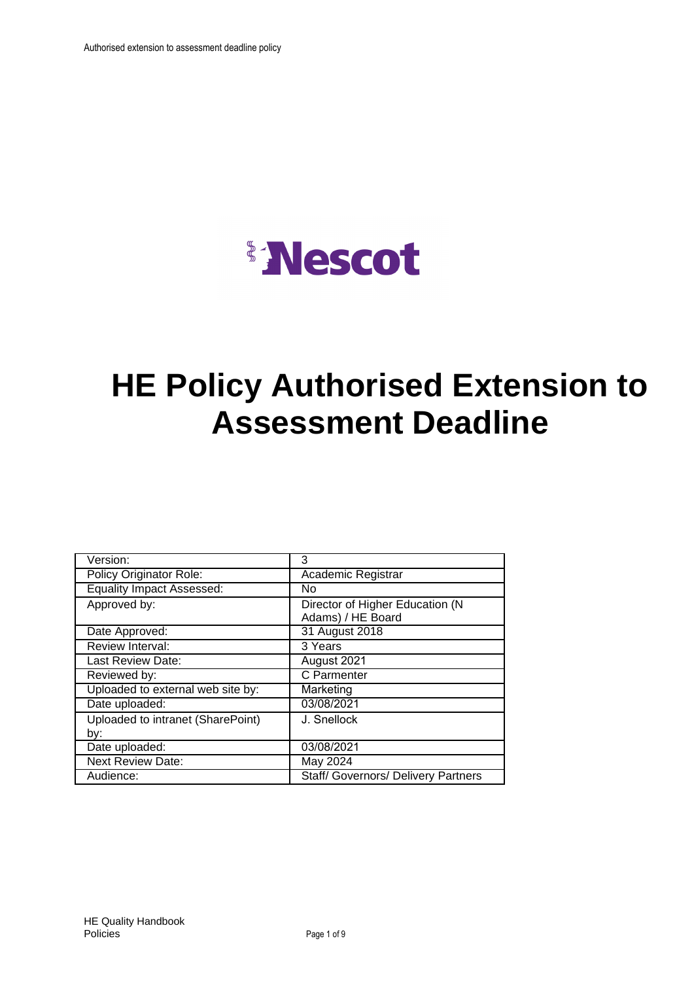

# **HE Policy Authorised Extension to Assessment Deadline**

| Version:                          | 3                                          |
|-----------------------------------|--------------------------------------------|
| Policy Originator Role:           | Academic Registrar                         |
| <b>Equality Impact Assessed:</b>  | No                                         |
| Approved by:                      | Director of Higher Education (N            |
|                                   | Adams) / HE Board                          |
| Date Approved:                    | 31 August 2018                             |
| Review Interval:                  | 3 Years                                    |
| Last Review Date:                 | August 2021                                |
| Reviewed by:                      | C Parmenter                                |
| Uploaded to external web site by: | Marketing                                  |
| Date uploaded:                    | 03/08/2021                                 |
| Uploaded to intranet (SharePoint) | J. Snellock                                |
| by:                               |                                            |
| Date uploaded:                    | 03/08/2021                                 |
| <b>Next Review Date:</b>          | May 2024                                   |
| Audience:                         | <b>Staff/ Governors/ Delivery Partners</b> |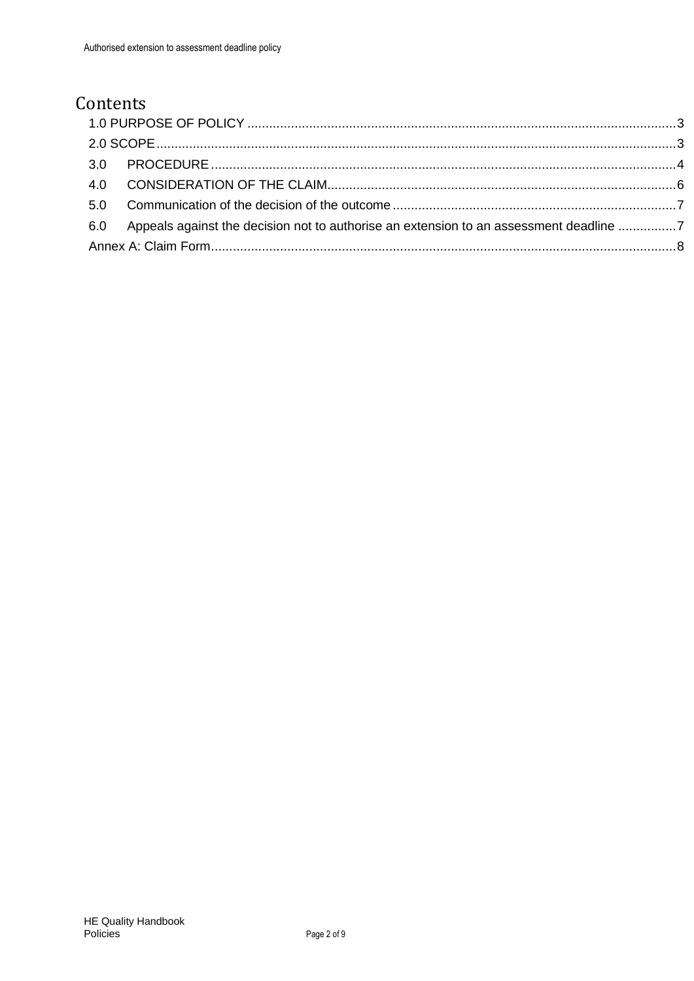## Contents

| 6.0 Appeals against the decision not to authorise an extension to an assessment deadline 7 |  |
|--------------------------------------------------------------------------------------------|--|
|                                                                                            |  |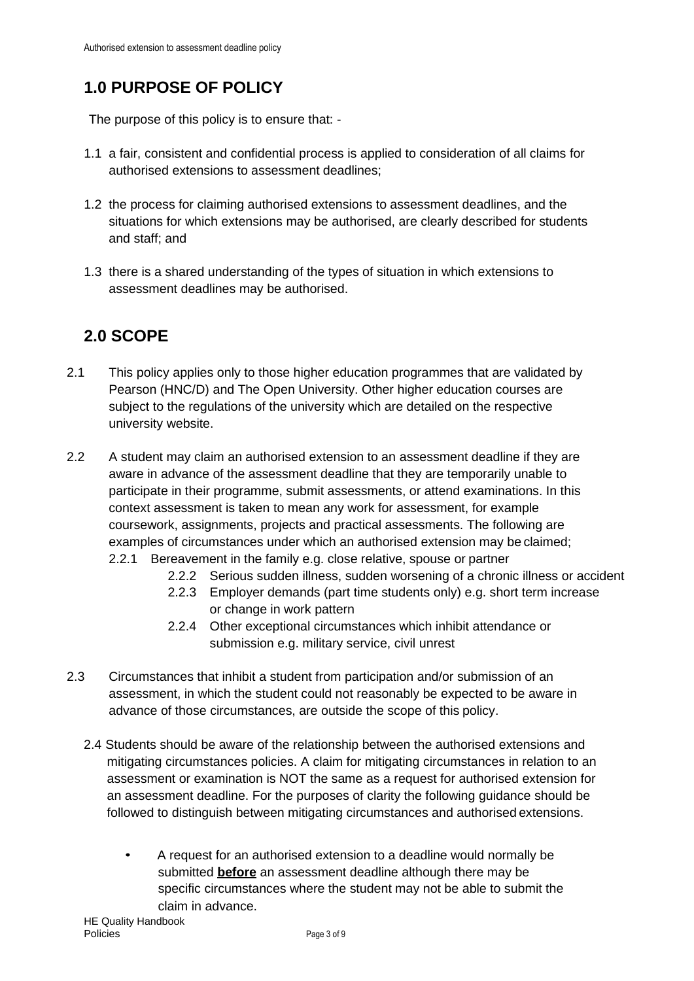# <span id="page-2-0"></span>**1.0 PURPOSE OF POLICY**

The purpose of this policy is to ensure that: -

- 1.1 a fair, consistent and confidential process is applied to consideration of all claims for authorised extensions to assessment deadlines;
- 1.2 the process for claiming authorised extensions to assessment deadlines, and the situations for which extensions may be authorised, are clearly described for students and staff; and
- 1.3 there is a shared understanding of the types of situation in which extensions to assessment deadlines may be authorised.

## <span id="page-2-1"></span>**2.0 SCOPE**

- 2.1 This policy applies only to those higher education programmes that are validated by Pearson (HNC/D) and The Open University. Other higher education courses are subject to the regulations of the university which are detailed on the respective university website.
- 2.2 A student may claim an authorised extension to an assessment deadline if they are aware in advance of the assessment deadline that they are temporarily unable to participate in their programme, submit assessments, or attend examinations. In this context assessment is taken to mean any work for assessment, for example coursework, assignments, projects and practical assessments. The following are examples of circumstances under which an authorised extension may be claimed;
	- 2.2.1 Bereavement in the family e.g. close relative, spouse or partner
		- 2.2.2 Serious sudden illness, sudden worsening of a chronic illness or accident
		- 2.2.3 Employer demands (part time students only) e.g. short term increase or change in work pattern
		- 2.2.4 Other exceptional circumstances which inhibit attendance or submission e.g. military service, civil unrest
- 2.3 Circumstances that inhibit a student from participation and/or submission of an assessment, in which the student could not reasonably be expected to be aware in advance of those circumstances, are outside the scope of this policy.
	- 2.4 Students should be aware of the relationship between the authorised extensions and mitigating circumstances policies. A claim for mitigating circumstances in relation to an assessment or examination is NOT the same as a request for authorised extension for an assessment deadline. For the purposes of clarity the following guidance should be followed to distinguish between mitigating circumstances and authorised extensions.
		- A request for an authorised extension to a deadline would normally be submitted **before** an assessment deadline although there may be specific circumstances where the student may not be able to submit the claim in advance.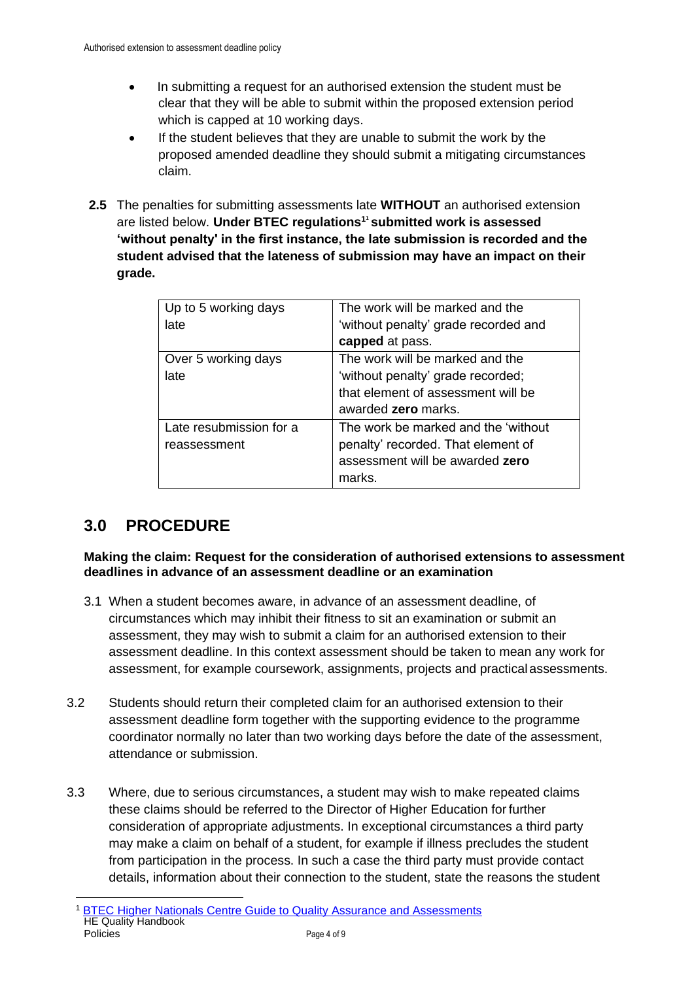- In submitting a request for an authorised extension the student must be clear that they will be able to submit within the proposed extension period which is capped at 10 working days.
- If the student believes that they are unable to submit the work by the proposed amended deadline they should submit a mitigating circumstances claim.
- **2.5** The penalties for submitting assessments late **WITHOUT** an authorised extension are listed below. **Under BTEC regulations[1](#page-3-1) 1 submitted work is assessed 'without penalty' in the first instance, the late submission is recorded and the student advised that the lateness of submission may have an impact on their grade.**

| Up to 5 working days    | The work will be marked and the      |
|-------------------------|--------------------------------------|
|                         |                                      |
| late                    | 'without penalty' grade recorded and |
|                         | capped at pass.                      |
| Over 5 working days     | The work will be marked and the      |
| late                    | 'without penalty' grade recorded;    |
|                         | that element of assessment will be   |
|                         | awarded <b>zero</b> marks.           |
| Late resubmission for a | The work be marked and the 'without  |
| reassessment            | penalty' recorded. That element of   |
|                         | assessment will be awarded zero      |
|                         | marks.                               |

## <span id="page-3-0"></span>**3.0 PROCEDURE**

#### **Making the claim: Request for the consideration of authorised extensions to assessment deadlines in advance of an assessment deadline or an examination**

- 3.1 When a student becomes aware, in advance of an assessment deadline, of circumstances which may inhibit their fitness to sit an examination or submit an assessment, they may wish to submit a claim for an authorised extension to their assessment deadline. In this context assessment should be taken to mean any work for assessment, for example coursework, assignments, projects and practical assessments.
- 3.2 Students should return their completed claim for an authorised extension to their assessment deadline form together with the supporting evidence to the programme coordinator normally no later than two working days before the date of the assessment, attendance or submission.
- <span id="page-3-1"></span>3.3 Where, due to serious circumstances, a student may wish to make repeated claims these claims should be referred to the Director of Higher Education for further consideration of appropriate adjustments. In exceptional circumstances a third party may make a claim on behalf of a student, for example if illness precludes the student from participation in the process. In such a case the third party must provide contact details, information about their connection to the student, state the reasons the student

HE Quality Handbook Policies Page 4 of 9 **[BTEC Higher Nationals Centre Guide to Quality Assurance and Assessments](https://qualifications.pearson.com/content/dam/pdf/Support/Quality%20Assurance/btec-higher-nationals-centre-guide-to-quality-assurance-and-assessment.pdf)**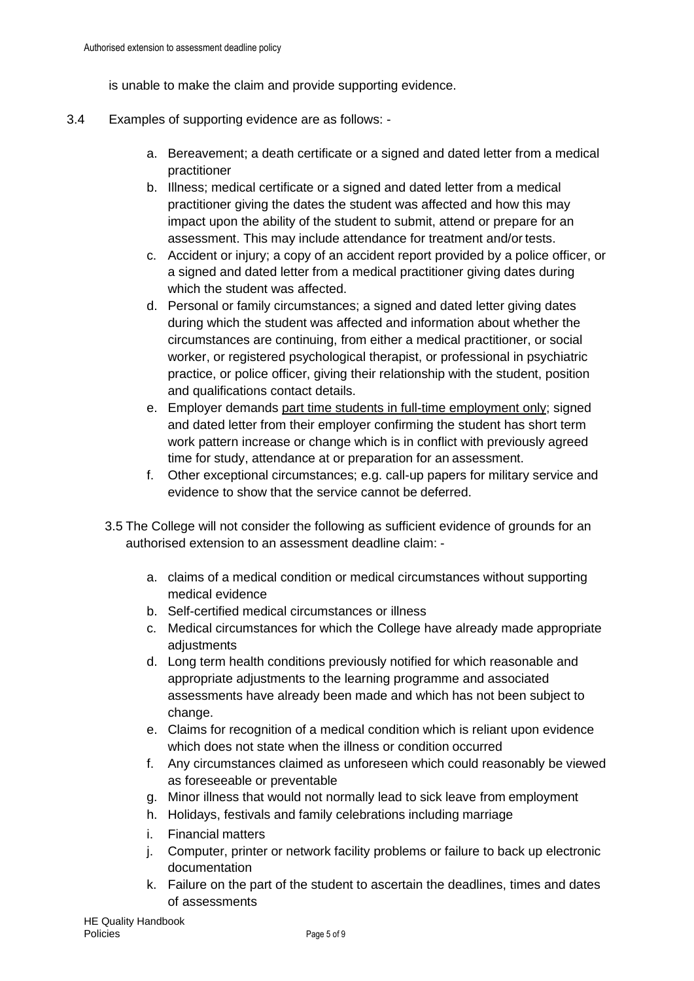is unable to make the claim and provide supporting evidence.

- 3.4 Examples of supporting evidence are as follows:
	- a. Bereavement; a death certificate or a signed and dated letter from a medical practitioner
	- b. Illness; medical certificate or a signed and dated letter from a medical practitioner giving the dates the student was affected and how this may impact upon the ability of the student to submit, attend or prepare for an assessment. This may include attendance for treatment and/or tests.
	- c. Accident or injury; a copy of an accident report provided by a police officer, or a signed and dated letter from a medical practitioner giving dates during which the student was affected.
	- d. Personal or family circumstances; a signed and dated letter giving dates during which the student was affected and information about whether the circumstances are continuing, from either a medical practitioner, or social worker, or registered psychological therapist, or professional in psychiatric practice, or police officer, giving their relationship with the student, position and qualifications contact details.
	- e. Employer demands part time students in full-time employment only; signed and dated letter from their employer confirming the student has short term work pattern increase or change which is in conflict with previously agreed time for study, attendance at or preparation for an assessment.
	- f. Other exceptional circumstances; e.g. call-up papers for military service and evidence to show that the service cannot be deferred.
	- 3.5 The College will not consider the following as sufficient evidence of grounds for an authorised extension to an assessment deadline claim:
		- a. claims of a medical condition or medical circumstances without supporting medical evidence
		- b. Self-certified medical circumstances or illness
		- c. Medical circumstances for which the College have already made appropriate adjustments
		- d. Long term health conditions previously notified for which reasonable and appropriate adjustments to the learning programme and associated assessments have already been made and which has not been subject to change.
		- e. Claims for recognition of a medical condition which is reliant upon evidence which does not state when the illness or condition occurred
		- f. Any circumstances claimed as unforeseen which could reasonably be viewed as foreseeable or preventable
		- g. Minor illness that would not normally lead to sick leave from employment
		- h. Holidays, festivals and family celebrations including marriage
		- i. Financial matters
		- j. Computer, printer or network facility problems or failure to back up electronic documentation
		- k. Failure on the part of the student to ascertain the deadlines, times and dates of assessments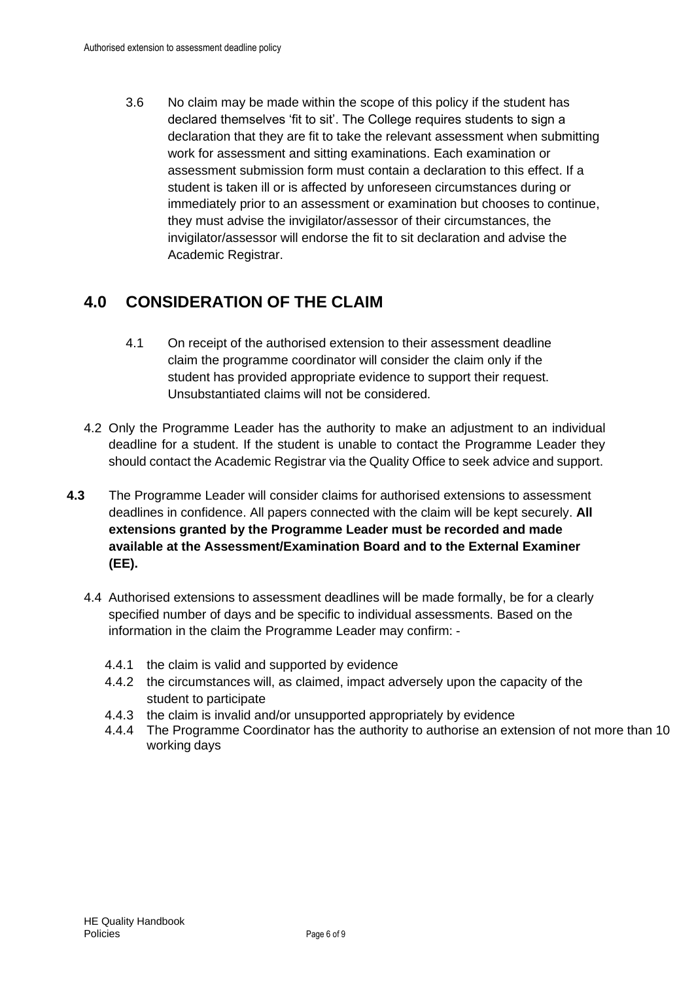3.6 No claim may be made within the scope of this policy if the student has declared themselves 'fit to sit'. The College requires students to sign a declaration that they are fit to take the relevant assessment when submitting work for assessment and sitting examinations. Each examination or assessment submission form must contain a declaration to this effect. If a student is taken ill or is affected by unforeseen circumstances during or immediately prior to an assessment or examination but chooses to continue, they must advise the invigilator/assessor of their circumstances, the invigilator/assessor will endorse the fit to sit declaration and advise the Academic Registrar.

#### <span id="page-5-0"></span>**4.0 CONSIDERATION OF THE CLAIM**

- 4.1 On receipt of the authorised extension to their assessment deadline claim the programme coordinator will consider the claim only if the student has provided appropriate evidence to support their request. Unsubstantiated claims will not be considered.
- 4.2 Only the Programme Leader has the authority to make an adjustment to an individual deadline for a student. If the student is unable to contact the Programme Leader they should contact the Academic Registrar via the Quality Office to seek advice and support.
- **4.3** The Programme Leader will consider claims for authorised extensions to assessment deadlines in confidence. All papers connected with the claim will be kept securely. **All extensions granted by the Programme Leader must be recorded and made available at the Assessment/Examination Board and to the External Examiner (EE).**
	- 4.4 Authorised extensions to assessment deadlines will be made formally, be for a clearly specified number of days and be specific to individual assessments. Based on the information in the claim the Programme Leader may confirm: -
		- 4.4.1 the claim is valid and supported by evidence
		- 4.4.2 the circumstances will, as claimed, impact adversely upon the capacity of the student to participate
		- 4.4.3 the claim is invalid and/or unsupported appropriately by evidence
		- 4.4.4 The Programme Coordinator has the authority to authorise an extension of not more than 10 working days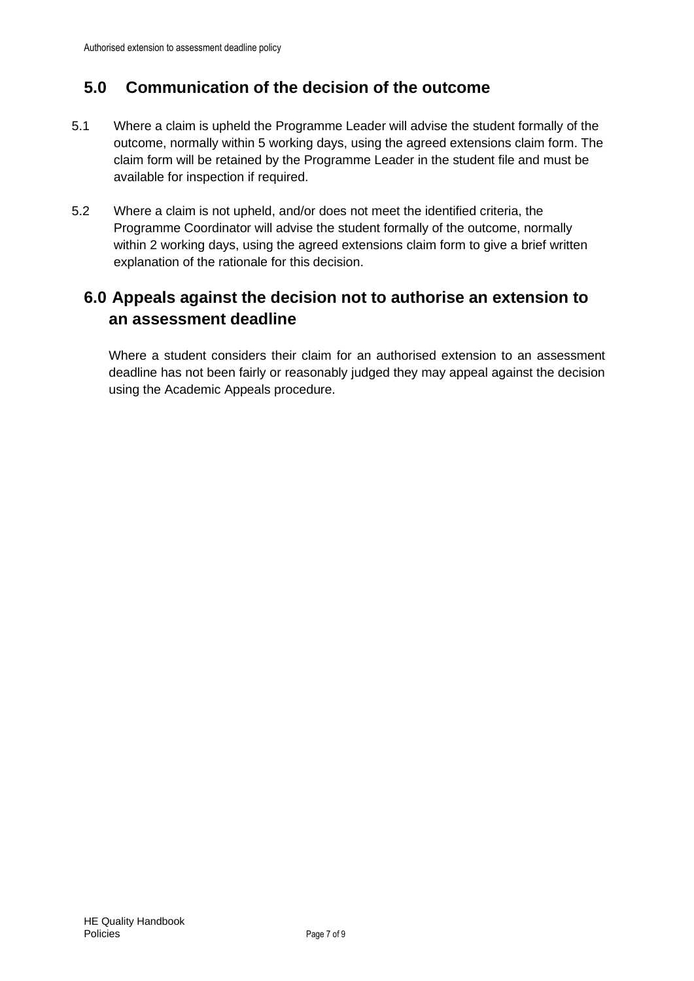### <span id="page-6-0"></span>**5.0 Communication of the decision of the outcome**

- 5.1 Where a claim is upheld the Programme Leader will advise the student formally of the outcome, normally within 5 working days, using the agreed extensions claim form. The claim form will be retained by the Programme Leader in the student file and must be available for inspection if required.
- 5.2 Where a claim is not upheld, and/or does not meet the identified criteria, the Programme Coordinator will advise the student formally of the outcome, normally within 2 working days, using the agreed extensions claim form to give a brief written explanation of the rationale for this decision.

#### <span id="page-6-1"></span>**6.0 Appeals against the decision not to authorise an extension to an assessment deadline**

Where a student considers their claim for an authorised extension to an assessment deadline has not been fairly or reasonably judged they may appeal against the decision using the Academic Appeals procedure.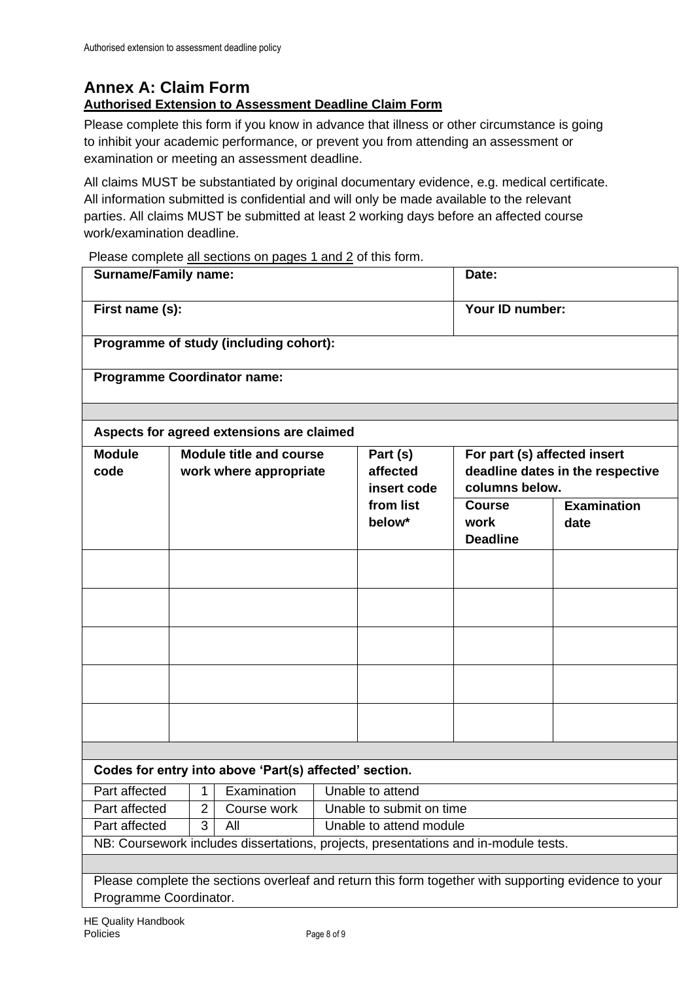## <span id="page-7-0"></span>**Annex A: Claim Form**

#### **Authorised Extension to Assessment Deadline Claim Form**

Please complete this form if you know in advance that illness or other circumstance is going to inhibit your academic performance, or prevent you from attending an assessment or examination or meeting an assessment deadline.

All claims MUST be substantiated by original documentary evidence, e.g. medical certificate. All information submitted is confidential and will only be made available to the relevant parties. All claims MUST be submitted at least 2 working days before an affected course work/examination deadline.

Please complete all sections on pages 1 and 2 of this form.

| <b>Surname/Family name:</b>                                                                                                    |                          | Date:                                              |                    |  |
|--------------------------------------------------------------------------------------------------------------------------------|--------------------------|----------------------------------------------------|--------------------|--|
| First name (s):                                                                                                                |                          |                                                    | Your ID number:    |  |
| Programme of study (including cohort):                                                                                         |                          |                                                    |                    |  |
| <b>Programme Coordinator name:</b>                                                                                             |                          |                                                    |                    |  |
|                                                                                                                                |                          |                                                    |                    |  |
| Aspects for agreed extensions are claimed                                                                                      |                          |                                                    |                    |  |
| <b>Module</b><br><b>Module title and course</b>                                                                                | Part (s)                 | For part (s) affected insert                       |                    |  |
| code<br>work where appropriate                                                                                                 | affected<br>insert code  | deadline dates in the respective<br>columns below. |                    |  |
|                                                                                                                                | from list                | <b>Course</b>                                      | <b>Examination</b> |  |
|                                                                                                                                | below*                   | work<br><b>Deadline</b>                            | date               |  |
|                                                                                                                                |                          |                                                    |                    |  |
|                                                                                                                                |                          |                                                    |                    |  |
|                                                                                                                                |                          |                                                    |                    |  |
|                                                                                                                                |                          |                                                    |                    |  |
|                                                                                                                                |                          |                                                    |                    |  |
|                                                                                                                                |                          |                                                    |                    |  |
| Codes for entry into above 'Part(s) affected' section.                                                                         |                          |                                                    |                    |  |
| Part affected   1   Examination   Unable to attend                                                                             |                          |                                                    |                    |  |
| Part affected<br>Course work<br>$\overline{2}$                                                                                 | Unable to submit on time |                                                    |                    |  |
| Part affected<br>3<br>All                                                                                                      | Unable to attend module  |                                                    |                    |  |
| NB: Coursework includes dissertations, projects, presentations and in-module tests.                                            |                          |                                                    |                    |  |
|                                                                                                                                |                          |                                                    |                    |  |
| Please complete the sections overleaf and return this form together with supporting evidence to your<br>Programme Coordinator. |                          |                                                    |                    |  |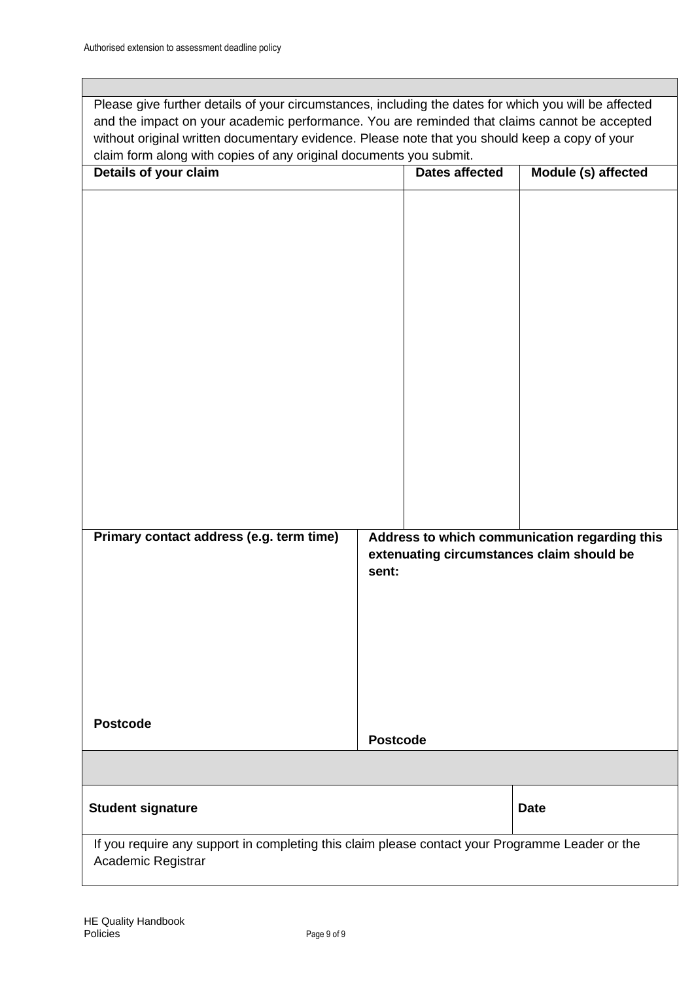Please give further details of your circumstances, including the dates for which you will be affected and the impact on your academic performance. You are reminded that claims cannot be accepted without original written documentary evidence. Please note that you should keep a copy of your claim form along with copies of any original documents you submit.

| cialin'ion'il along with copied or any original accamento yea capititi.<br>Details of your claim                      |                 | <b>Dates affected</b> | Module (s) affected                           |
|-----------------------------------------------------------------------------------------------------------------------|-----------------|-----------------------|-----------------------------------------------|
|                                                                                                                       |                 |                       |                                               |
|                                                                                                                       |                 |                       |                                               |
|                                                                                                                       |                 |                       |                                               |
|                                                                                                                       |                 |                       |                                               |
|                                                                                                                       |                 |                       |                                               |
|                                                                                                                       |                 |                       |                                               |
|                                                                                                                       |                 |                       |                                               |
|                                                                                                                       |                 |                       |                                               |
|                                                                                                                       |                 |                       |                                               |
|                                                                                                                       |                 |                       |                                               |
|                                                                                                                       |                 |                       |                                               |
|                                                                                                                       |                 |                       |                                               |
|                                                                                                                       |                 |                       |                                               |
| Primary contact address (e.g. term time)                                                                              |                 |                       | Address to which communication regarding this |
|                                                                                                                       |                 |                       | extenuating circumstances claim should be     |
|                                                                                                                       | sent:           |                       |                                               |
|                                                                                                                       |                 |                       |                                               |
|                                                                                                                       |                 |                       |                                               |
|                                                                                                                       |                 |                       |                                               |
|                                                                                                                       |                 |                       |                                               |
|                                                                                                                       |                 |                       |                                               |
| <b>Postcode</b>                                                                                                       | <b>Postcode</b> |                       |                                               |
|                                                                                                                       |                 |                       |                                               |
|                                                                                                                       |                 |                       |                                               |
| <b>Student signature</b>                                                                                              |                 |                       | <b>Date</b>                                   |
| If you require any support in completing this claim please contact your Programme Leader or the<br>Academic Registrar |                 |                       |                                               |